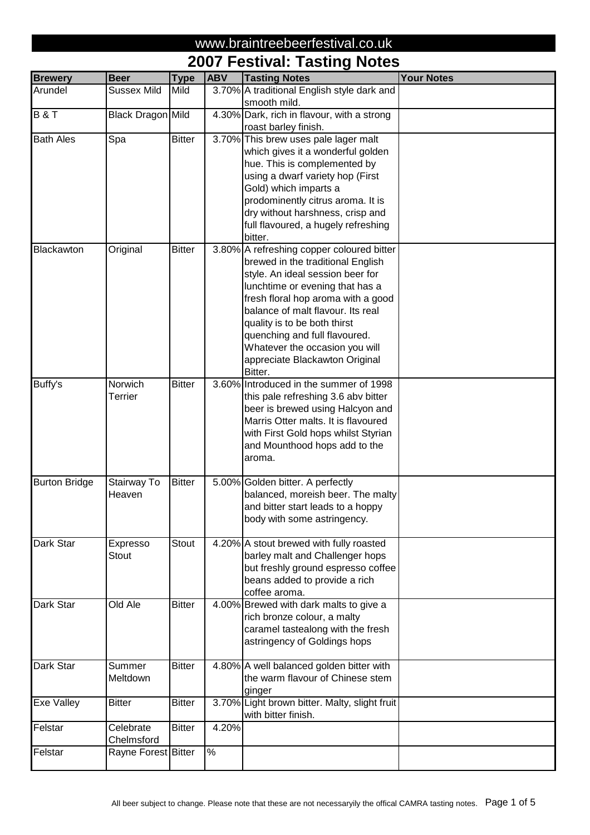| <b>Brewery</b>       | <b>Beer</b>         | <b>Type</b>   | <b>ABV</b> | <b>Tasting Notes</b>                                                 | <b>Your Notes</b> |
|----------------------|---------------------|---------------|------------|----------------------------------------------------------------------|-------------------|
| Arundel              | <b>Sussex Mild</b>  | Mild          |            | 3.70% A traditional English style dark and                           |                   |
|                      |                     |               |            | smooth mild.                                                         |                   |
| <b>B&amp;T</b>       | Black Dragon Mild   |               |            | 4.30% Dark, rich in flavour, with a strong                           |                   |
|                      |                     |               |            | roast barley finish.                                                 |                   |
| <b>Bath Ales</b>     | Spa                 | <b>Bitter</b> |            | 3.70% This brew uses pale lager malt                                 |                   |
|                      |                     |               |            | which gives it a wonderful golden                                    |                   |
|                      |                     |               |            | hue. This is complemented by                                         |                   |
|                      |                     |               |            | using a dwarf variety hop (First                                     |                   |
|                      |                     |               |            | Gold) which imparts a                                                |                   |
|                      |                     |               |            | prodominently citrus aroma. It is                                    |                   |
|                      |                     |               |            | dry without harshness, crisp and                                     |                   |
|                      |                     |               |            | full flavoured, a hugely refreshing                                  |                   |
|                      |                     |               |            | bitter.                                                              |                   |
| Blackawton           | Original            | <b>Bitter</b> |            | 3.80% A refreshing copper coloured bitter                            |                   |
|                      |                     |               |            | brewed in the traditional English                                    |                   |
|                      |                     |               |            | style. An ideal session beer for                                     |                   |
|                      |                     |               |            | lunchtime or evening that has a                                      |                   |
|                      |                     |               |            | fresh floral hop aroma with a good                                   |                   |
|                      |                     |               |            | balance of malt flavour. Its real                                    |                   |
|                      |                     |               |            | quality is to be both thirst                                         |                   |
|                      |                     |               |            | quenching and full flavoured.                                        |                   |
|                      |                     |               |            | Whatever the occasion you will                                       |                   |
|                      |                     |               |            | appreciate Blackawton Original                                       |                   |
|                      |                     |               |            | Bitter.                                                              |                   |
| Buffy's              | Norwich             | <b>Bitter</b> |            | 3.60% Introduced in the summer of 1998                               |                   |
|                      | Terrier             |               |            | this pale refreshing 3.6 abv bitter                                  |                   |
|                      |                     |               |            | beer is brewed using Halcyon and                                     |                   |
|                      |                     |               |            | Marris Otter malts. It is flavoured                                  |                   |
|                      |                     |               |            | with First Gold hops whilst Styrian                                  |                   |
|                      |                     |               |            | and Mounthood hops add to the                                        |                   |
|                      |                     |               |            | aroma.                                                               |                   |
|                      |                     |               |            |                                                                      |                   |
| <b>Burton Bridge</b> | Stairway To         | <b>Bitter</b> |            | 5.00% Golden bitter. A perfectly                                     |                   |
|                      | Heaven              |               |            | balanced, moreish beer. The malty                                    |                   |
|                      |                     |               |            | and bitter start leads to a hoppy                                    |                   |
|                      |                     |               |            | body with some astringency.                                          |                   |
|                      |                     |               |            |                                                                      |                   |
| Dark Star            | Expresso            | <b>Stout</b>  |            | 4.20% A stout brewed with fully roasted                              |                   |
|                      | Stout               |               |            | barley malt and Challenger hops                                      |                   |
|                      |                     |               |            | but freshly ground espresso coffee                                   |                   |
|                      |                     |               |            | beans added to provide a rich                                        |                   |
|                      |                     |               |            | coffee aroma.                                                        |                   |
| Dark Star            | Old Ale             | <b>Bitter</b> |            | 4.00% Brewed with dark malts to give a                               |                   |
|                      |                     |               |            | rich bronze colour, a malty                                          |                   |
|                      |                     |               |            | caramel tastealong with the fresh                                    |                   |
|                      |                     |               |            | astringency of Goldings hops                                         |                   |
|                      |                     |               |            |                                                                      |                   |
| <b>Dark Star</b>     | Summer              | <b>Bitter</b> |            | 4.80% A well balanced golden bitter with                             |                   |
|                      | Meltdown            |               |            | the warm flavour of Chinese stem                                     |                   |
|                      |                     |               |            | ginger                                                               |                   |
| <b>Exe Valley</b>    | <b>Bitter</b>       | <b>Bitter</b> |            | 3.70% Light brown bitter. Malty, slight fruit<br>with bitter finish. |                   |
| Felstar              | Celebrate           | <b>Bitter</b> | 4.20%      |                                                                      |                   |
|                      | Chelmsford          |               |            |                                                                      |                   |
| Felstar              | Rayne Forest Bitter |               | $\%$       |                                                                      |                   |
|                      |                     |               |            |                                                                      |                   |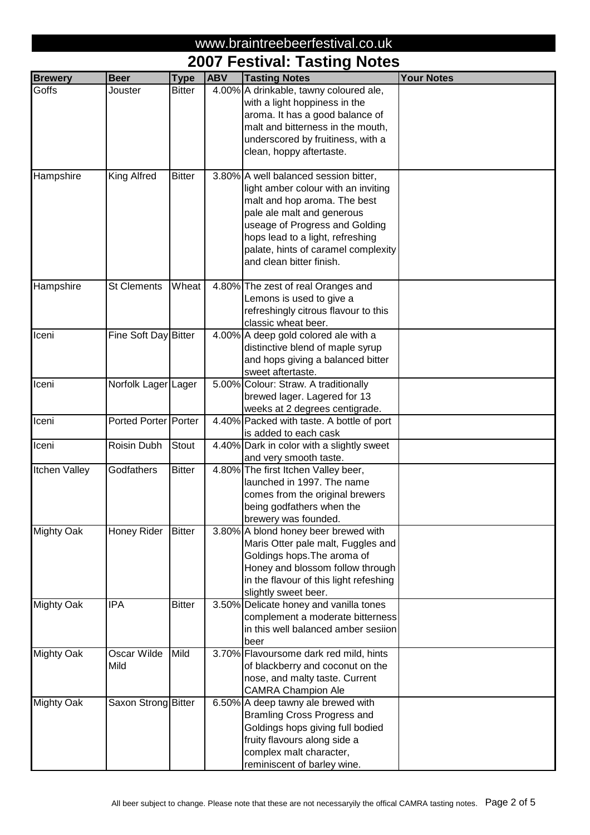|                      |                      |               |            | ZUVI I GƏLIVAI. TAƏLIIIY NULGƏ            |                   |
|----------------------|----------------------|---------------|------------|-------------------------------------------|-------------------|
| <b>Brewery</b>       | <b>Beer</b>          | <b>Type</b>   | <b>ABV</b> | <b>Tasting Notes</b>                      | <b>Your Notes</b> |
| Goffs                | Jouster              | <b>Bitter</b> |            | 4.00% A drinkable, tawny coloured ale,    |                   |
|                      |                      |               |            | with a light hoppiness in the             |                   |
|                      |                      |               |            | aroma. It has a good balance of           |                   |
|                      |                      |               |            | malt and bitterness in the mouth,         |                   |
|                      |                      |               |            | underscored by fruitiness, with a         |                   |
|                      |                      |               |            | clean, hoppy aftertaste.                  |                   |
|                      |                      |               |            |                                           |                   |
| Hampshire            | King Alfred          | <b>Bitter</b> |            | 3.80% A well balanced session bitter,     |                   |
|                      |                      |               |            | light amber colour with an inviting       |                   |
|                      |                      |               |            | malt and hop aroma. The best              |                   |
|                      |                      |               |            | pale ale malt and generous                |                   |
|                      |                      |               |            | useage of Progress and Golding            |                   |
|                      |                      |               |            | hops lead to a light, refreshing          |                   |
|                      |                      |               |            | palate, hints of caramel complexity       |                   |
|                      |                      |               |            | and clean bitter finish.                  |                   |
|                      |                      |               |            |                                           |                   |
| Hampshire            | <b>St Clements</b>   | Wheat         |            | 4.80% The zest of real Oranges and        |                   |
|                      |                      |               |            | Lemons is used to give a                  |                   |
|                      |                      |               |            | refreshingly citrous flavour to this      |                   |
|                      |                      |               |            | classic wheat beer.                       |                   |
| Iceni                | Fine Soft Day Bitter |               |            | 4.00% A deep gold colored ale with a      |                   |
|                      |                      |               |            | distinctive blend of maple syrup          |                   |
|                      |                      |               |            | and hops giving a balanced bitter         |                   |
|                      |                      |               |            | sweet aftertaste.                         |                   |
| Iceni                | Norfolk Lager Lager  |               |            | 5.00% Colour: Straw. A traditionally      |                   |
|                      |                      |               |            | brewed lager. Lagered for 13              |                   |
|                      |                      |               |            | weeks at 2 degrees centigrade.            |                   |
| Iceni                | Ported Porter Porter |               |            | 4.40% Packed with taste. A bottle of port |                   |
|                      |                      |               |            | is added to each cask                     |                   |
| Iceni                | Roisin Dubh          | Stout         |            | 4.40% Dark in color with a slightly sweet |                   |
|                      |                      |               |            | and very smooth taste.                    |                   |
| <b>Itchen Valley</b> | Godfathers           | <b>Bitter</b> |            | 4.80% The first Itchen Valley beer,       |                   |
|                      |                      |               |            | launched in 1997. The name                |                   |
|                      |                      |               |            | comes from the original brewers           |                   |
|                      |                      |               |            | being godfathers when the                 |                   |
|                      |                      |               |            | brewery was founded.                      |                   |
| <b>Mighty Oak</b>    | Honey Rider          | <b>Bitter</b> |            | 3.80% A blond honey beer brewed with      |                   |
|                      |                      |               |            | Maris Otter pale malt, Fuggles and        |                   |
|                      |                      |               |            | Goldings hops. The aroma of               |                   |
|                      |                      |               |            | Honey and blossom follow through          |                   |
|                      |                      |               |            | in the flavour of this light refeshing    |                   |
|                      |                      |               |            | slightly sweet beer.                      |                   |
| <b>Mighty Oak</b>    | <b>IPA</b>           | <b>Bitter</b> |            | 3.50% Delicate honey and vanilla tones    |                   |
|                      |                      |               |            | complement a moderate bitterness          |                   |
|                      |                      |               |            | in this well balanced amber sesiion       |                   |
|                      |                      |               |            | beer                                      |                   |
| <b>Mighty Oak</b>    | Oscar Wilde          | Mild          |            | 3.70% Flavoursome dark red mild, hints    |                   |
|                      | Mild                 |               |            | of blackberry and coconut on the          |                   |
|                      |                      |               |            | nose, and malty taste. Current            |                   |
|                      |                      |               |            | <b>CAMRA Champion Ale</b>                 |                   |
| <b>Mighty Oak</b>    | Saxon Strong Bitter  |               |            | 6.50% A deep tawny ale brewed with        |                   |
|                      |                      |               |            | Bramling Cross Progress and               |                   |
|                      |                      |               |            | Goldings hops giving full bodied          |                   |
|                      |                      |               |            | fruity flavours along side a              |                   |
|                      |                      |               |            | complex malt character,                   |                   |
|                      |                      |               |            | reminiscent of barley wine.               |                   |
|                      |                      |               |            |                                           |                   |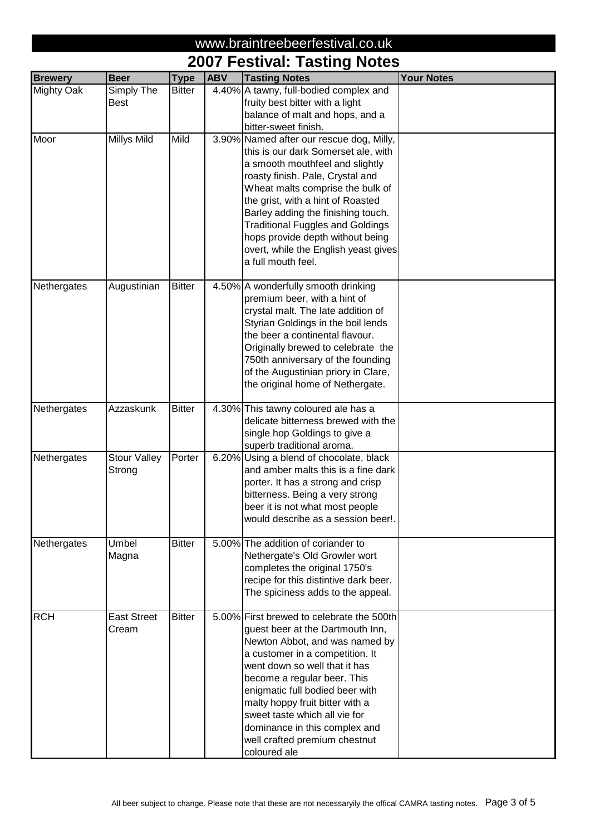|                   |                     |               |            | ZUUT I GSUVAI. TASUNG NOLGS               |                   |
|-------------------|---------------------|---------------|------------|-------------------------------------------|-------------------|
| <b>Brewery</b>    | <b>Beer</b>         | <b>Type</b>   | <b>ABV</b> | <b>Tasting Notes</b>                      | <b>Your Notes</b> |
| <b>Mighty Oak</b> | Simply The          | <b>Bitter</b> |            | 4.40% A tawny, full-bodied complex and    |                   |
|                   | <b>Best</b>         |               |            | fruity best bitter with a light           |                   |
|                   |                     |               |            | balance of malt and hops, and a           |                   |
|                   |                     |               |            | bitter-sweet finish.                      |                   |
| Moor              | Millys Mild         | Mild          |            | 3.90% Named after our rescue dog, Milly,  |                   |
|                   |                     |               |            | this is our dark Somerset ale, with       |                   |
|                   |                     |               |            | a smooth mouthfeel and slightly           |                   |
|                   |                     |               |            | roasty finish. Pale, Crystal and          |                   |
|                   |                     |               |            | Wheat malts comprise the bulk of          |                   |
|                   |                     |               |            | the grist, with a hint of Roasted         |                   |
|                   |                     |               |            | Barley adding the finishing touch.        |                   |
|                   |                     |               |            | <b>Traditional Fuggles and Goldings</b>   |                   |
|                   |                     |               |            | hops provide depth without being          |                   |
|                   |                     |               |            | overt, while the English yeast gives      |                   |
|                   |                     |               |            | a full mouth feel.                        |                   |
| Nethergates       | Augustinian         | <b>Bitter</b> |            | 4.50% A wonderfully smooth drinking       |                   |
|                   |                     |               |            | premium beer, with a hint of              |                   |
|                   |                     |               |            | crystal malt. The late addition of        |                   |
|                   |                     |               |            | Styrian Goldings in the boil lends        |                   |
|                   |                     |               |            | the beer a continental flavour.           |                   |
|                   |                     |               |            | Originally brewed to celebrate the        |                   |
|                   |                     |               |            | 750th anniversary of the founding         |                   |
|                   |                     |               |            | of the Augustinian priory in Clare,       |                   |
|                   |                     |               |            | the original home of Nethergate.          |                   |
|                   |                     |               |            |                                           |                   |
| Nethergates       | Azzaskunk           | <b>Bitter</b> |            | 4.30% This tawny coloured ale has a       |                   |
|                   |                     |               |            | delicate bitterness brewed with the       |                   |
|                   |                     |               |            | single hop Goldings to give a             |                   |
|                   |                     |               |            | superb traditional aroma.                 |                   |
| Nethergates       | <b>Stour Valley</b> | Porter        |            | 6.20% Using a blend of chocolate, black   |                   |
|                   | Strong              |               |            | and amber malts this is a fine dark       |                   |
|                   |                     |               |            | porter. It has a strong and crisp         |                   |
|                   |                     |               |            | bitterness. Being a very strong           |                   |
|                   |                     |               |            | beer it is not what most people           |                   |
|                   |                     |               |            | would describe as a session beer!.        |                   |
| Nethergates       | Umbel               | <b>Bitter</b> |            | 5.00% The addition of coriander to        |                   |
|                   | Magna               |               |            | Nethergate's Old Growler wort             |                   |
|                   |                     |               |            | completes the original 1750's             |                   |
|                   |                     |               |            | recipe for this distintive dark beer.     |                   |
|                   |                     |               |            | The spiciness adds to the appeal.         |                   |
|                   |                     |               |            |                                           |                   |
| <b>RCH</b>        | <b>East Street</b>  | <b>Bitter</b> |            | 5.00% First brewed to celebrate the 500th |                   |
|                   | Cream               |               |            | guest beer at the Dartmouth Inn,          |                   |
|                   |                     |               |            | Newton Abbot, and was named by            |                   |
|                   |                     |               |            | a customer in a competition. It           |                   |
|                   |                     |               |            | went down so well that it has             |                   |
|                   |                     |               |            | become a regular beer. This               |                   |
|                   |                     |               |            | enigmatic full bodied beer with           |                   |
|                   |                     |               |            | malty hoppy fruit bitter with a           |                   |
|                   |                     |               |            | sweet taste which all vie for             |                   |
|                   |                     |               |            | dominance in this complex and             |                   |
|                   |                     |               |            | well crafted premium chestnut             |                   |
|                   |                     |               |            | coloured ale                              |                   |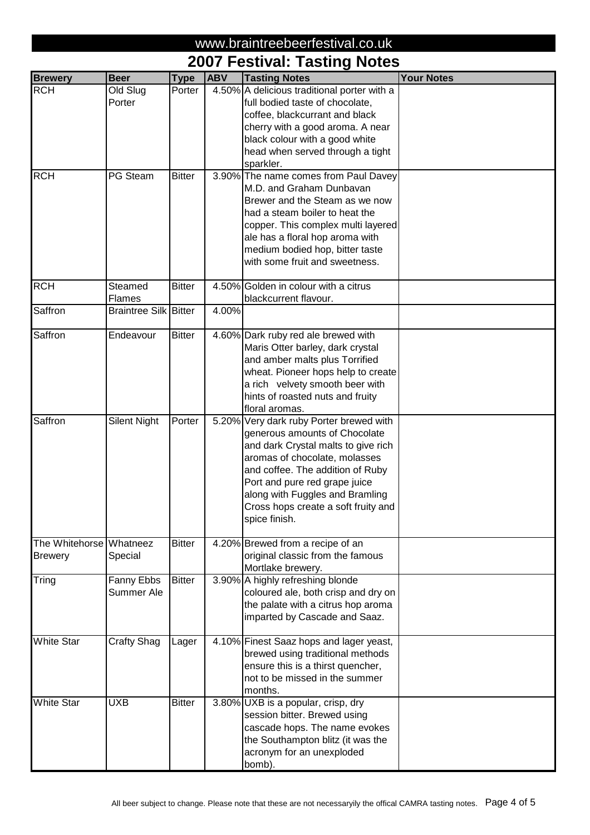## www.braintreebeerfestival.co.uk

# **2007 Festival: Tasting Notes**

| <b>Brewery</b>          | <b>Beer</b>                  | <b>Type</b>   | <b>ABV</b> | <b>Tasting Notes</b>                                                      | <b>Your Notes</b> |
|-------------------------|------------------------------|---------------|------------|---------------------------------------------------------------------------|-------------------|
| <b>RCH</b>              | Old Slug                     | Porter        |            | 4.50% A delicious traditional porter with a                               |                   |
|                         | Porter                       |               |            | full bodied taste of chocolate,                                           |                   |
|                         |                              |               |            | coffee, blackcurrant and black                                            |                   |
|                         |                              |               |            | cherry with a good aroma. A near                                          |                   |
|                         |                              |               |            | black colour with a good white                                            |                   |
|                         |                              |               |            | head when served through a tight                                          |                   |
|                         |                              |               |            | sparkler.                                                                 |                   |
| <b>RCH</b>              | PG Steam                     | <b>Bitter</b> |            | 3.90% The name comes from Paul Davey                                      |                   |
|                         |                              |               |            | M.D. and Graham Dunbavan                                                  |                   |
|                         |                              |               |            | Brewer and the Steam as we now                                            |                   |
|                         |                              |               |            | had a steam boiler to heat the                                            |                   |
|                         |                              |               |            | copper. This complex multi layered                                        |                   |
|                         |                              |               |            | ale has a floral hop aroma with                                           |                   |
|                         |                              |               |            | medium bodied hop, bitter taste                                           |                   |
|                         |                              |               |            | with some fruit and sweetness.                                            |                   |
| <b>RCH</b>              | Steamed                      | <b>Bitter</b> |            | 4.50% Golden in colour with a citrus                                      |                   |
|                         | <b>Flames</b>                |               |            | blackcurrent flavour.                                                     |                   |
| Saffron                 | <b>Braintree Silk Bitter</b> |               | 4.00%      |                                                                           |                   |
| Saffron                 | Endeavour                    | <b>Bitter</b> |            | 4.60% Dark ruby red ale brewed with                                       |                   |
|                         |                              |               |            | Maris Otter barley, dark crystal                                          |                   |
|                         |                              |               |            | and amber malts plus Torrified                                            |                   |
|                         |                              |               |            | wheat. Pioneer hops help to create                                        |                   |
|                         |                              |               |            | a rich velvety smooth beer with                                           |                   |
|                         |                              |               |            | hints of roasted nuts and fruity                                          |                   |
|                         |                              |               |            | floral aromas.                                                            |                   |
| Saffron                 | <b>Silent Night</b>          | Porter        |            | 5.20% Very dark ruby Porter brewed with                                   |                   |
|                         |                              |               |            | generous amounts of Chocolate                                             |                   |
|                         |                              |               |            | and dark Crystal malts to give rich                                       |                   |
|                         |                              |               |            | aromas of chocolate, molasses                                             |                   |
|                         |                              |               |            | and coffee. The addition of Ruby                                          |                   |
|                         |                              |               |            | Port and pure red grape juice                                             |                   |
|                         |                              |               |            | along with Fuggles and Bramling<br>Cross hops create a soft fruity and    |                   |
|                         |                              |               |            | spice finish.                                                             |                   |
|                         |                              |               |            |                                                                           |                   |
| The Whitehorse Whatneez |                              | <b>Bitter</b> |            | 4.20% Brewed from a recipe of an                                          |                   |
| <b>Brewery</b>          | Special                      |               |            | original classic from the famous                                          |                   |
|                         |                              |               |            | Mortlake brewery.                                                         |                   |
| Tring                   | Fanny Ebbs                   | <b>Bitter</b> |            | 3.90% A highly refreshing blonde                                          |                   |
|                         | Summer Ale                   |               |            | coloured ale, both crisp and dry on<br>the palate with a citrus hop aroma |                   |
|                         |                              |               |            |                                                                           |                   |
|                         |                              |               |            | imparted by Cascade and Saaz.                                             |                   |
| <b>White Star</b>       | <b>Crafty Shag</b>           | Lager         |            | 4.10% Finest Saaz hops and lager yeast,                                   |                   |
|                         |                              |               |            | brewed using traditional methods                                          |                   |
|                         |                              |               |            | ensure this is a thirst quencher,<br>not to be missed in the summer       |                   |
|                         |                              |               |            | months.                                                                   |                   |
| <b>White Star</b>       | <b>UXB</b>                   | <b>Bitter</b> |            | 3.80% UXB is a popular, crisp, dry                                        |                   |
|                         |                              |               |            | session bitter. Brewed using                                              |                   |
|                         |                              |               |            | cascade hops. The name evokes                                             |                   |
|                         |                              |               |            | the Southampton blitz (it was the                                         |                   |
|                         |                              |               |            | acronym for an unexploded                                                 |                   |
|                         |                              |               |            | bomb).                                                                    |                   |